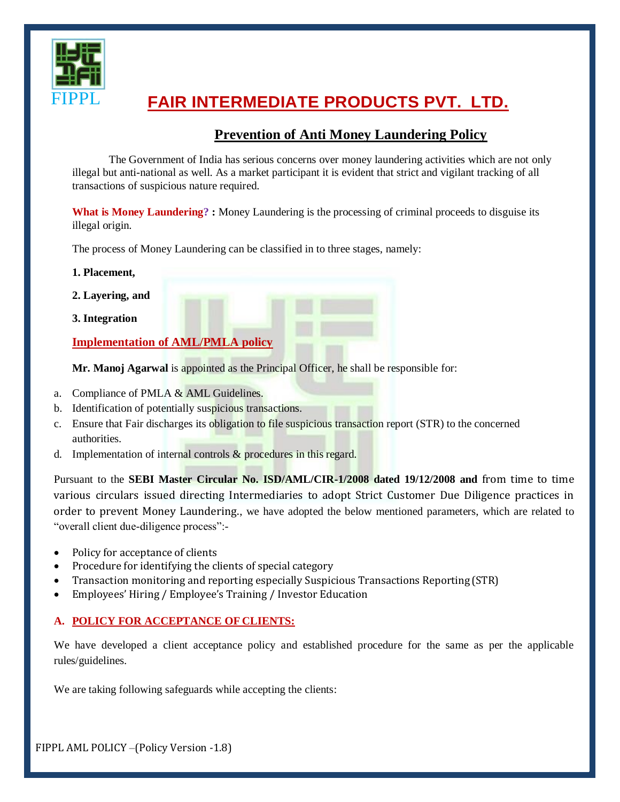

# **FAIR INTERMEDIATE PRODUCTS PVT. LTD.**

# **Prevention of Anti Money Laundering Policy**

The Government of India has serious concerns over money laundering activities which are not only illegal but anti-national as well. As a market participant it is evident that strict and vigilant tracking of all transactions of suspicious nature required.

What is Money Laundering? : Money Laundering is the processing of criminal proceeds to disguise its illegal origin.

The process of Money Laundering can be classified in to three stages, namely:

- **1. Placement,**
- **2. Layering, and**
- **3. Integration**

**Implementation of AML/PMLA policy**

**Mr. Manoj Agarwal** is appointed as the Principal Officer, he shall be responsible for:

- a. Compliance of PMLA & AML Guidelines.
- b. Identification of potentially suspicious transactions.
- c. Ensure that Fair discharges its obligation to file suspicious transaction report (STR) to the concerned authorities.
- d. Implementation of internal controls  $\&$  procedures in this regard.

Pursuant to the **SEBI Master Circular No. ISD/AML/CIR-1/2008 dated 19/12/2008 and** from time to time various circulars issued directing Intermediaries to adopt Strict Customer Due Diligence practices in order to prevent Money Laundering., we have adopted the below mentioned parameters, which are related to "overall client due-diligence process":-

- Policy for acceptance of clients
- Procedure for identifying the clients of special category
- Transaction monitoring and reporting especially Suspicious Transactions Reporting (STR)
- Employees' Hiring / Employee's Training / Investor Education

# **A. POLICY FOR ACCEPTANCE OF CLIENTS:**

We have developed a client acceptance policy and established procedure for the same as per the applicable rules/guidelines.

We are taking following safeguards while accepting the clients:

FIPPL AML POLICY –(Policy Version -1.8)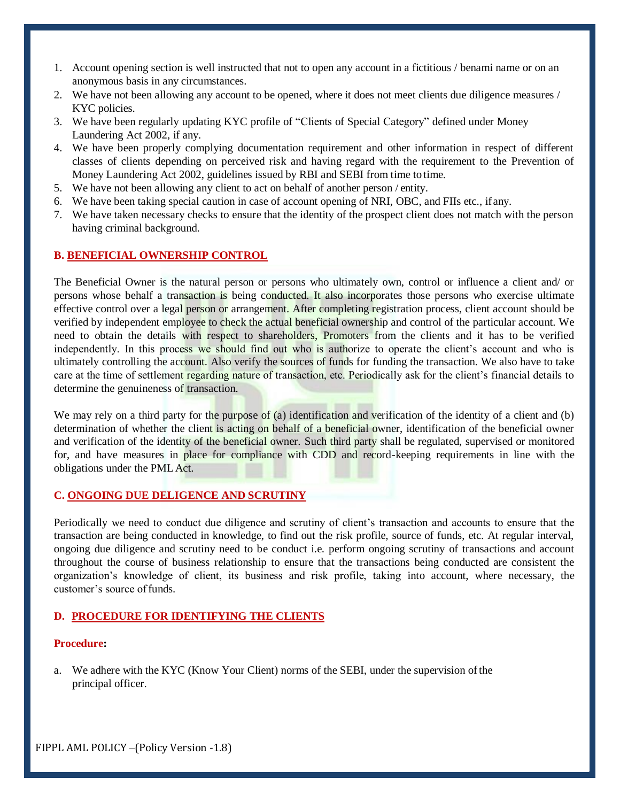- 1. Account opening section is well instructed that not to open any account in a fictitious / benami name or on an anonymous basis in any circumstances.
- 2. We have not been allowing any account to be opened, where it does not meet clients due diligence measures / KYC policies.
- 3. We have been regularly updating KYC profile of "Clients of Special Category" defined under Money Laundering Act 2002, if any.
- 4. We have been properly complying documentation requirement and other information in respect of different classes of clients depending on perceived risk and having regard with the requirement to the Prevention of Money Laundering Act 2002, guidelines issued by RBI and SEBI from time to time.
- 5. We have not been allowing any client to act on behalf of another person / entity.
- 6. We have been taking special caution in case of account opening of NRI, OBC, and FIIs etc., ifany.
- 7. We have taken necessary checks to ensure that the identity of the prospect client does not match with the person having criminal background.

### **B. BENEFICIAL OWNERSHIP CONTROL**

The Beneficial Owner is the natural person or persons who ultimately own, control or influence a client and/ or persons whose behalf a transaction is being conducted. It also incorporates those persons who exercise ultimate effective control over a legal person or arrangement. After completing registration process, client account should be verified by independent employee to check the actual beneficial ownership and control of the particular account. We need to obtain the details with respect to shareholders, Promoters from the clients and it has to be verified independently. In this process we should find out who is authorize to operate the client's account and who is ultimately controlling the account. Also verify the sources of funds for funding the transaction. We also have to take care at the time of settlement regarding nature of transaction, etc. Periodically ask for the client's financial details to determine the genuineness of transaction.

We may rely on a third party for the purpose of (a) identification and verification of the identity of a client and (b) determination of whether the client is acting on behalf of a beneficial owner, identification of the beneficial owner and verification of the identity of the beneficial owner. Such third party shall be regulated, supervised or monitored for, and have measures in place for compliance with CDD and record-keeping requirements in line with the obligations under the PMLAct.

# **C. ONGOING DUE DELIGENCE AND SCRUTINY**

Periodically we need to conduct due diligence and scrutiny of client's transaction and accounts to ensure that the transaction are being conducted in knowledge, to find out the risk profile, source of funds, etc. At regular interval, ongoing due diligence and scrutiny need to be conduct i.e. perform ongoing scrutiny of transactions and account throughout the course of business relationship to ensure that the transactions being conducted are consistent the organization's knowledge of client, its business and risk profile, taking into account, where necessary, the customer's source offunds.

### **D. PROCEDURE FOR IDENTIFYING THE CLIENTS**

#### **Procedure:**

a. We adhere with the KYC (Know Your Client) norms of the SEBI, under the supervision ofthe principal officer.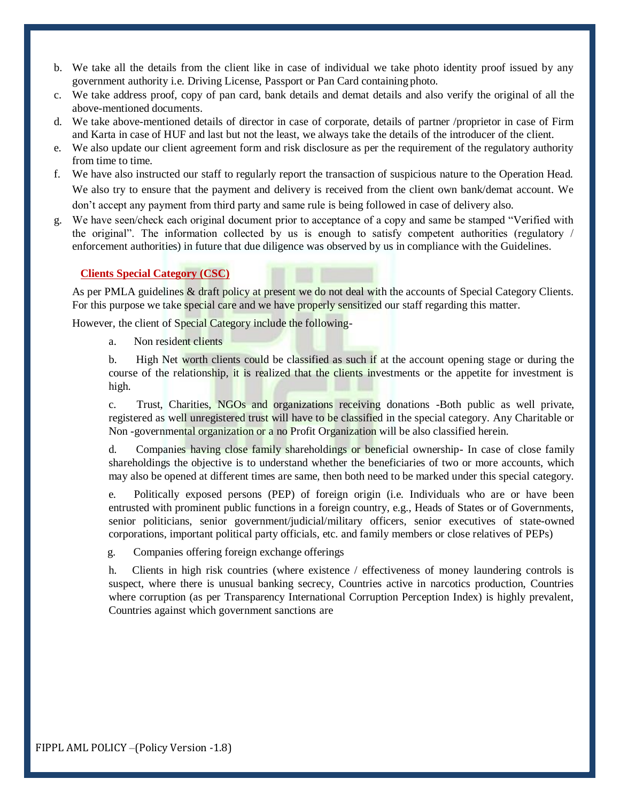- b. We take all the details from the client like in case of individual we take photo identity proof issued by any government authority i.e. Driving License, Passport or Pan Card containing photo.
- c. We take address proof, copy of pan card, bank details and demat details and also verify the original of all the above-mentioned documents.
- d. We take above-mentioned details of director in case of corporate, details of partner /proprietor in case of Firm and Karta in case of HUF and last but not the least, we always take the details of the introducer of the client.
- e. We also update our client agreement form and risk disclosure as per the requirement of the regulatory authority from time to time.
- f. We have also instructed our staff to regularly report the transaction of suspicious nature to the Operation Head. We also try to ensure that the payment and delivery is received from the client own bank/demat account. We don't accept any payment from third party and same rule is being followed in case of delivery also.
- g. We have seen/check each original document prior to acceptance of a copy and same be stamped "Verified with the original". The information collected by us is enough to satisfy competent authorities (regulatory / enforcement authorities) in future that due diligence was observed by us in compliance with the Guidelines.

## **Clients Special Category (CSC)**

As per PMLA guidelines & draft policy at present we do not deal with the accounts of Special Category Clients. For this purpose we take special care and we have properly sensitized our staff regarding this matter.

However, the client of Special Category include the following-

a. Non resident clients

b. High Net worth clients could be classified as such if at the account opening stage or during the course of the relationship, it is realized that the clients investments or the appetite for investment is high.

c. Trust, Charities, NGOs and organizations receiving donations -Both public as well private, registered as well unregistered trust will have to be classified in the special category. Any Charitable or Non -governmental organization or a no Profit Organization will be also classified herein.

d. Companies having close family shareholdings or beneficial ownership- In case of close family shareholdings the objective is to understand whether the beneficiaries of two or more accounts, which may also be opened at different times are same, then both need to be marked under this special category.

e. Politically exposed persons (PEP) of foreign origin (i.e. Individuals who are or have been entrusted with prominent public functions in a foreign country, e.g., Heads of States or of Governments, senior politicians, senior government/judicial/military officers, senior executives of state-owned corporations, important political party officials, etc. and family members or close relatives of PEPs)

g. Companies offering foreign exchange offerings

h. Clients in high risk countries (where existence / effectiveness of money laundering controls is suspect, where there is unusual banking secrecy, Countries active in narcotics production, Countries where corruption (as per Transparency International Corruption Perception Index) is highly prevalent, Countries against which government sanctions are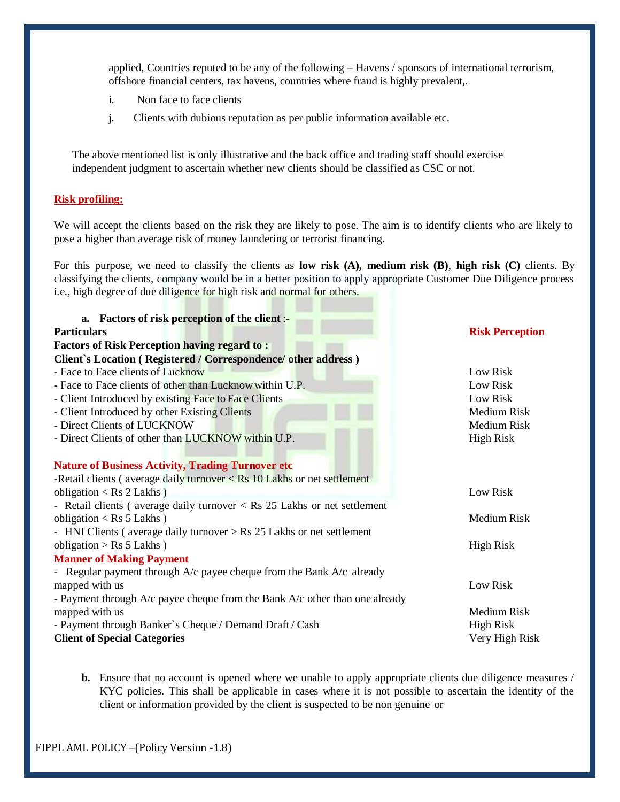applied, Countries reputed to be any of the following – Havens / sponsors of international terrorism, offshore financial centers, tax havens, countries where fraud is highly prevalent,.

- i. Non face to face clients
- j. Clients with dubious reputation as per public information available etc.

The above mentioned list is only illustrative and the back office and trading staff should exercise independent judgment to ascertain whether new clients should be classified as CSC or not.

#### **Risk profiling:**

We will accept the clients based on the risk they are likely to pose. The aim is to identify clients who are likely to pose a higher than average risk of money laundering or terrorist financing.

For this purpose, we need to classify the clients as **low risk (A), medium risk (B)**, **high risk (C)** clients. By classifying the clients, company would be in a better position to apply appropriate Customer Due Diligence process i.e., high degree of due diligence for high risk and normal for others.

| a. Factors of risk perception of the client :-                              |                        |
|-----------------------------------------------------------------------------|------------------------|
| <b>Particulars</b>                                                          | <b>Risk Perception</b> |
| <b>Factors of Risk Perception having regard to:</b>                         |                        |
| Client's Location (Registered / Correspondence/ other address)              |                        |
| - Face to Face clients of Lucknow                                           | Low Risk               |
| - Face to Face clients of other than Lucknow within U.P.                    | Low Risk               |
| - Client Introduced by existing Face to Face Clients                        | Low Risk               |
| - Client Introduced by other Existing Clients                               | Medium Risk            |
| - Direct Clients of LUCKNOW                                                 | Medium Risk            |
| - Direct Clients of other than LUCKNOW within U.P.                          | <b>High Risk</b>       |
| <b>Nature of Business Activity, Trading Turnover etc</b>                    |                        |
| -Retail clients (average daily turnover $<$ Rs 10 Lakhs or net settlement   |                        |
| obligation < $\text{Rs } 2$ Lakhs)                                          | Low Risk               |
| - Retail clients (average daily turnover $<$ Rs 25 Lakhs or net settlement  |                        |
| obligation < $\text{Rs } 5$ Lakhs)                                          | Medium Risk            |
| - HNI Clients (average daily turnover $>$ Rs 25 Lakhs or net settlement     |                        |
| obligation > $\text{Rs } 5$ Lakhs)                                          | <b>High Risk</b>       |
| <b>Manner of Making Payment</b>                                             |                        |
| - Regular payment through $A/c$ payee cheque from the Bank $A/c$ already    |                        |
| mapped with us                                                              | Low Risk               |
| - Payment through A/c payee cheque from the Bank A/c other than one already |                        |
| mapped with us                                                              | Medium Risk            |
| - Payment through Banker's Cheque / Demand Draft / Cash                     | <b>High Risk</b>       |
| <b>Client of Special Categories</b>                                         | Very High Risk         |

**b.** Ensure that no account is opened where we unable to apply appropriate clients due diligence measures / KYC policies. This shall be applicable in cases where it is not possible to ascertain the identity of the client or information provided by the client is suspected to be non genuine or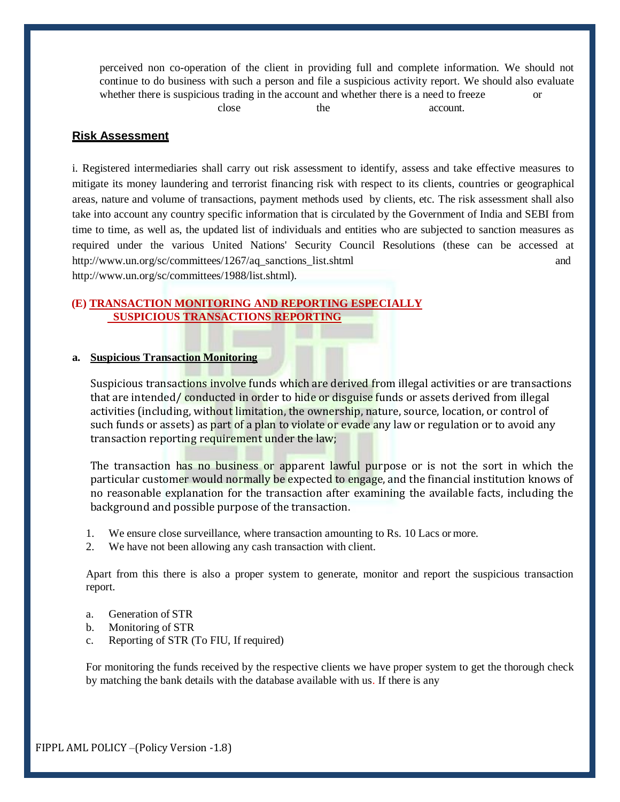perceived non co-operation of the client in providing full and complete information. We should not continue to do business with such a person and file a suspicious activity report. We should also evaluate whether there is suspicious trading in the account and whether there is a need to freeze or close the account.

**Risk Assessment**

i. Registered intermediaries shall carry out risk assessment to identify, assess and take effective measures to mitigate its money laundering and terrorist financing risk with respect to its clients, countries or geographical areas, nature and volume of transactions, payment methods used by clients, etc. The risk assessment shall also take into account any country specific information that is circulated by the Government of India and SEBI from time to time, as well as, the updated list of individuals and entities who are subjected to sanction measures as required under the various United Nations' Security Council Resolutions (these can be accessed a[t](http://www.un.org/sc/committees/1267/aq_sanctions_list.shtml) [http://www.un.org/sc/committees/1267/aq\\_sanctions\\_list.shtml](http://www.un.org/sc/committees/1267/aq_sanctions_list.shtml) an[d](http://www.un.org/sc/committees/1988/list.shtml)) [http://www.un.org/sc/committees/1988/list.shtml\).](http://www.un.org/sc/committees/1988/list.shtml))

#### **(E) TRANSACTION MONITORING AND REPORTING ESPECIALLY SUSPICIOUS TRANSACTIONS REPORTING**

### **a. Suspicious Transaction Monitoring**

Suspicious transactions involve funds which are derived from illegal activities or are transactions that are intended/ conducted in order to hide or disguise funds or assets derived from illegal activities (including, without limitation, the ownership, nature, source, location, or control of such funds or assets) as part of a plan to violate or evade any law or regulation or to avoid any transaction reporting requirement under the law;

The transaction has no business or apparent lawful purpose or is not the sort in which the particular customer would normally be expected to engage, and the financial institution knows of no reasonable explanation for the transaction after examining the available facts, including the background and possible purpose of the transaction.

- 1. We ensure close surveillance, where transaction amounting to Rs. 10 Lacs or more.
- 2. We have not been allowing any cash transaction with client.

Apart from this there is also a proper system to generate, monitor and report the suspicious transaction report.

- a. Generation of STR
- b. Monitoring of STR
- c. Reporting of STR (To FIU, If required)

For monitoring the funds received by the respective clients we have proper system to get the thorough check by matching the bank details with the database available with us. If there is any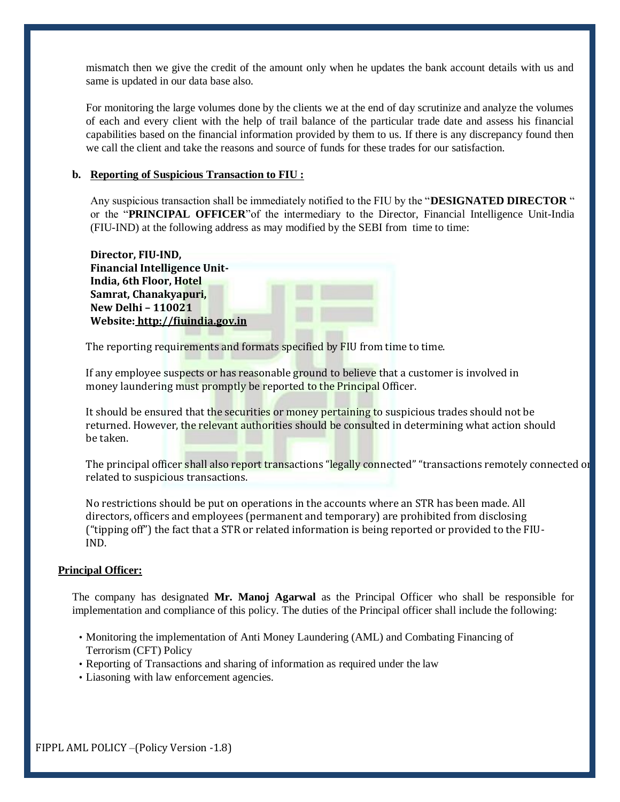mismatch then we give the credit of the amount only when he updates the bank account details with us and same is updated in our data base also.

For monitoring the large volumes done by the clients we at the end of day scrutinize and analyze the volumes of each and every client with the help of trail balance of the particular trade date and assess his financial capabilities based on the financial information provided by them to us. If there is any discrepancy found then we call the client and take the reasons and source of funds for these trades for our satisfaction.

#### **b. Reporting of Suspicious Transaction to FIU :**

Any suspicious transaction shall be immediately notified to the FIU by the "**DESIGNATED DIRECTOR** " or the "**PRINCIPAL OFFICER**"of the intermediary to the Director, Financial Intelligence Unit-India (FIU-IND) at the following address as may modified by the SEBI from time to time:

| Director, FIU-IND,                  |  |
|-------------------------------------|--|
| <b>Financial Intelligence Unit-</b> |  |
| India, 6th Floor, Hotel             |  |
| Samrat, Chanakyapuri,               |  |
| <b>New Delhi - 110021</b>           |  |
| Website: http://fiuindia.gov.in     |  |
|                                     |  |

The reporting requirements and formats specified by FIU from time to time.

If any employee suspects or has reasonable ground to believe that a customer is involved in money laundering must promptly be reported to the Principal Officer.

It should be ensured that the securities or money pertaining to suspicious trades should not be returned. However, the relevant authorities should be consulted in determining what action should be taken.

The principal officer shall also report transactions "legally connected" "transactions remotely connected or related to suspicious transactions.

No restrictions should be put on operations in the accounts where an STR has been made. All directors, officers and employees (permanent and temporary) are prohibited from disclosing ("tipping off") the fact that a STR or related information is being reported or provided to the FIU-IND.

#### **Principal Officer:**

The company has designated **Mr. Manoj Agarwal** as the Principal Officer who shall be responsible for implementation and compliance of this policy. The duties of the Principal officer shall include the following:

- Monitoring the implementation of Anti Money Laundering (AML) and Combating Financing of Terrorism (CFT) Policy
- Reporting of Transactions and sharing of information as required under the law
- Liasoning with law enforcement agencies.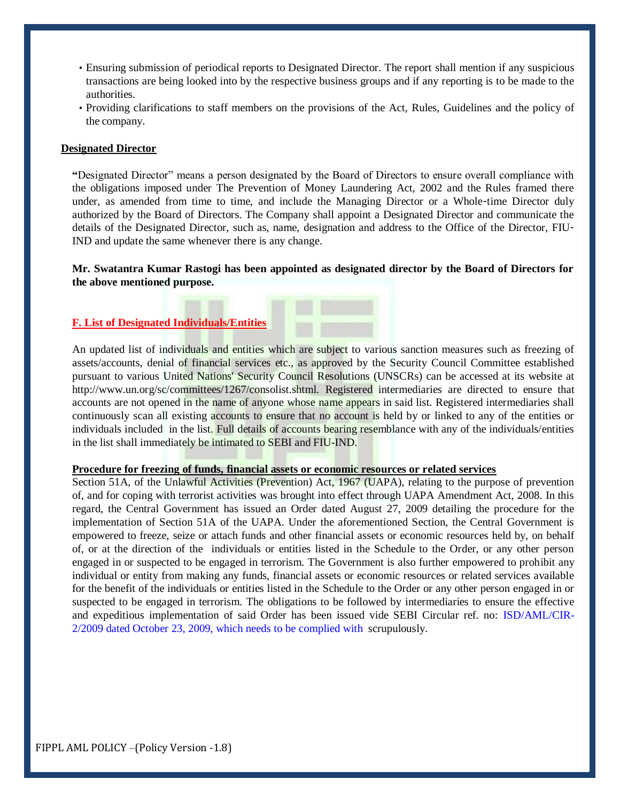- Ensuring submission of periodical reports to Designated Director. The report shall mention if any suspicious transactions are being looked into by the respective business groups and if any reporting is to be made to the authorities.
- Providing clarifications to staff members on the provisions of the Act, Rules, Guidelines and the policy of the company.

### **Designated Director**

**"**Designated Director" means a person designated by the Board of Directors to ensure overall compliance with the obligations imposed under The Prevention of Money Laundering Act, 2002 and the Rules framed there under, as amended from time to time, and include the Managing Director or a Whole-time Director duly authorized by the Board of Directors. The Company shall appoint a Designated Director and communicate the details of the Designated Director, such as, name, designation and address to the Office of the Director, FIU‐ IND and update the same whenever there is any change.

### **Mr. Swatantra Kumar Rastogi has been appointed as designated director by the Board of Directors for the above mentioned purpose.**

# **F. List of Designated Individuals/Entities**

An updated list of individuals and entities which are subject to various sanction measures such as freezing of assets/accounts, denial of financial services etc., as approved by the Security Council Committee established pursuant to various United Nations' Security Council Resolutions (UNSCRs) can be accessed at its website at [http://www.un.org/sc/committees/1267/consolist.shtml.](http://www.un.org/sc/committees/1267/consolist.shtml) Registered intermediaries are directed to ensure that accounts are not opened in the name of anyone whose name appears in said list. Registered intermediaries shall continuously scan all existing accounts to ensure that no account is held by or linked to any of the entities or individuals included in the list. Full details of accounts bearing resemblance with any of the individuals/entities in the list shall immediately be intimated to SEBI and FIU-IND.

#### **Procedure for freezing of funds, financial assets or economic resources or related services**

Section 51A, of the Unlawful Activities (Prevention) Act, 1967 (UAPA), relating to the purpose of prevention of, and for coping with terrorist activities was brought into effect through UAPA Amendment Act, 2008. In this regard, the Central Government has issued an Order dated August 27, 2009 detailing the procedure for the implementation of Section 51A of the UAPA. Under the aforementioned Section, the Central Government is empowered to freeze, seize or attach funds and other financial assets or economic resources held by, on behalf of, or at the direction of the individuals or entities listed in the Schedule to the Order, or any other person engaged in or suspected to be engaged in terrorism. The Government is also further empowered to prohibit any individual or entity from making any funds, financial assets or economic resources or related services available for the benefit of the individuals or entities listed in the Schedule to the Order or any other person engaged in or suspected to be engaged in terrorism. The obligations to be followed by intermediaries to ensure the effective and expeditious implementation of said Order has been issued vide SEBI Circular ref. no: [ISD/AML/CIR-](http://www.sebi.gov.in/circulars/2009/cir.pdf)[2/2009 dated October 23, 2009, which needs to be](http://www.sebi.gov.in/circulars/2009/cir.pdf) [complied with](http://www.sebi.gov.in/circulars/2009/cir.pdf) scrupulously.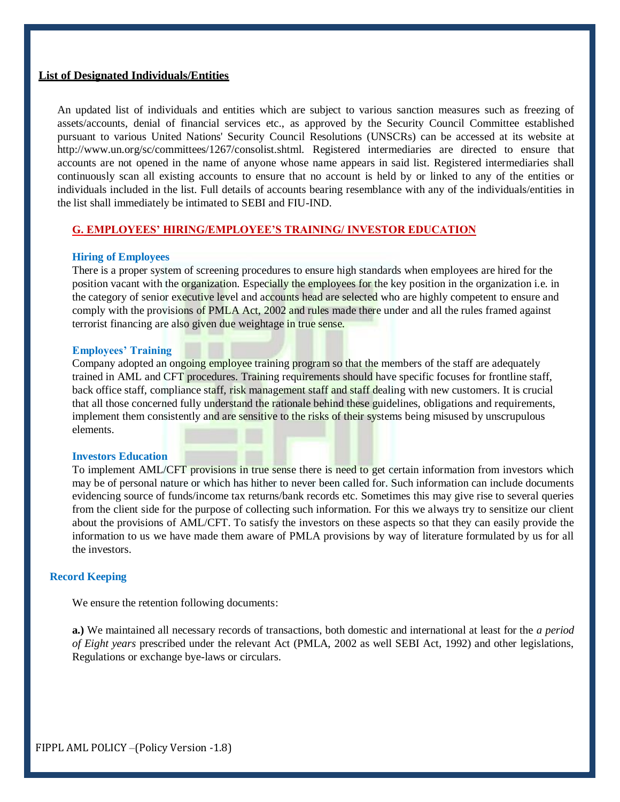#### **List of Designated Individuals/Entities**

An updated list of individuals and entities which are subject to various sanction measures such as freezing of assets/accounts, denial of financial services etc., as approved by the Security Council Committee established pursuant to various United Nations' Security Council Resolutions (UNSCRs) can be accessed at its website at [http://www.un.org/sc/committees/1267/consolist.shtml.](http://www.un.org/sc/committees/1267/consolist.shtml) Registered intermediaries are directed to ensure that accounts are not opened in the name of anyone whose name appears in said list. Registered intermediaries shall continuously scan all existing accounts to ensure that no account is held by or linked to any of the entities or individuals included in the list. Full details of accounts bearing resemblance with any of the individuals/entities in the list shall immediately be intimated to SEBI and FIU-IND.

#### **G. EMPLOYEES' HIRING/EMPLOYEE'S TRAINING/ INVESTOR EDUCATION**

#### **Hiring of Employees**

There is a proper system of screening procedures to ensure high standards when employees are hired for the position vacant with the organization. Especially the employees for the key position in the organization i.e. in the category of senior executive level and accounts head are selected who are highly competent to ensure and comply with the provisions of PMLA Act, 2002 and rules made there under and all the rules framed against terrorist financing are also given due weightage in true sense.

#### **Employees' Training**

Company adopted an ongoing employee training program so that the members of the staff are adequately trained in AML and CFT procedures. Training requirements should have specific focuses for frontline staff, back office staff, compliance staff, risk management staff and staff dealing with new customers. It is crucial that all those concerned fully understand the rationale behind these guidelines, obligations and requirements, implement them consistently and are sensitive to the risks of their systems being misused by unscrupulous elements.

#### **Investors Education**

To implement AML/CFT provisions in true sense there is need to get certain information from investors which may be of personal nature or which has hither to never been called for. Such information can include documents evidencing source of funds/income tax returns/bank records etc. Sometimes this may give rise to several queries from the client side for the purpose of collecting such information. For this we always try to sensitize our client about the provisions of AML/CFT. To satisfy the investors on these aspects so that they can easily provide the information to us we have made them aware of PMLA provisions by way of literature formulated by us for all the investors.

## **Record Keeping**

We ensure the retention following documents:

**a.)** We maintained all necessary records of transactions, both domestic and international at least for the *a period of Eight years* prescribed under the relevant Act (PMLA, 2002 as well SEBI Act, 1992) and other legislations, Regulations or exchange bye-laws or circulars.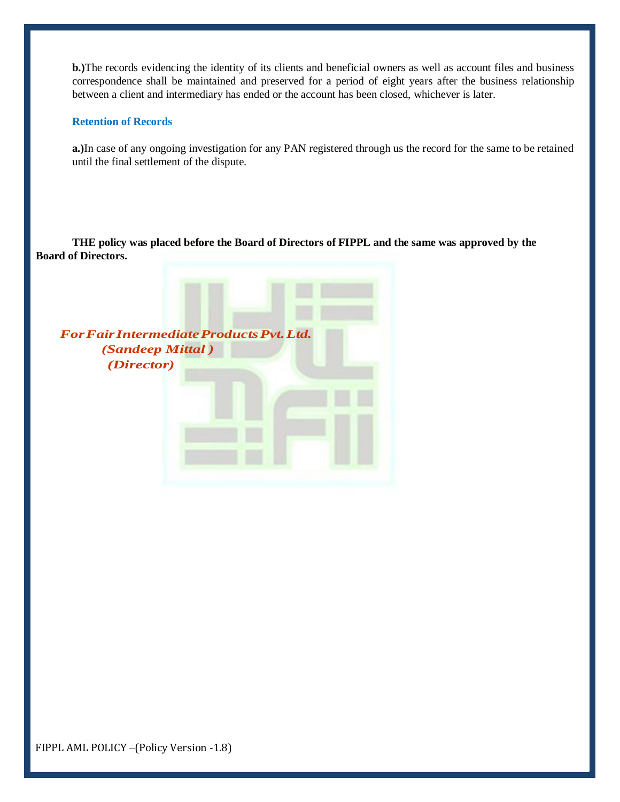**b.)**The records evidencing the identity of its clients and beneficial owners as well as account files and business correspondence shall be maintained and preserved for a period of eight years after the business relationship between a client and intermediary has ended or the account has been closed, whichever is later.

#### **Retention of Records**

**a.)**In case of any ongoing investigation for any PAN registered through us the record for the same to be retained until the final settlement of the dispute.

**THE policy was placed before the Board of Directors of FIPPL and the same was approved by the Board of Directors.**